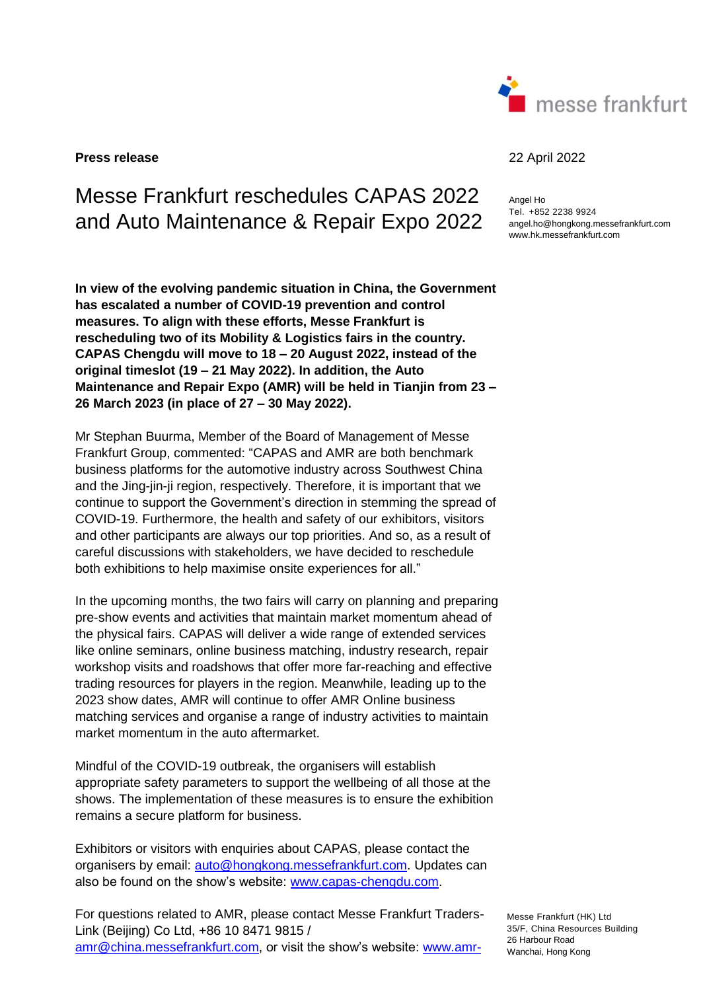

**Press release** 22 April 2022

## Messe Frankfurt reschedules CAPAS 2022 and Auto Maintenance & Repair Expo 2022

Angel Ho Tel. +852 2238 9924 angel.ho@hongkong.messefrankfurt.com www.hk.messefrankfurt.com

**In view of the evolving pandemic situation in China, the Government has escalated a number of COVID-19 prevention and control measures. To align with these efforts, Messe Frankfurt is rescheduling two of its Mobility & Logistics fairs in the country. CAPAS Chengdu will move to 18 – 20 August 2022, instead of the original timeslot (19 – 21 May 2022). In addition, the Auto Maintenance and Repair Expo (AMR) will be held in Tianjin from 23 – 26 March 2023 (in place of 27 – 30 May 2022).** 

Mr Stephan Buurma, Member of the Board of Management of Messe Frankfurt Group, commented: "CAPAS and AMR are both benchmark business platforms for the automotive industry across Southwest China and the Jing-jin-ji region, respectively. Therefore, it is important that we continue to support the Government's direction in stemming the spread of COVID-19. Furthermore, the health and safety of our exhibitors, visitors and other participants are always our top priorities. And so, as a result of careful discussions with stakeholders, we have decided to reschedule both exhibitions to help maximise onsite experiences for all."

In the upcoming months, the two fairs will carry on planning and preparing pre-show events and activities that maintain market momentum ahead of the physical fairs. CAPAS will deliver a wide range of extended services like online seminars, online business matching, industry research, repair workshop visits and roadshows that offer more far-reaching and effective trading resources for players in the region. Meanwhile, leading up to the 2023 show dates, AMR will continue to offer AMR Online business matching services and organise a range of industry activities to maintain market momentum in the auto aftermarket.

Mindful of the COVID-19 outbreak, the organisers will establish appropriate safety parameters to support the wellbeing of all those at the shows. The implementation of these measures is to ensure the exhibition remains a secure platform for business.

Exhibitors or visitors with enquiries about CAPAS, please contact the organisers by email: [auto@hongkong.messefrankfurt.com.](mailto:auto@hongkong.messefrankfurt.com) Updates can also be found on the show's website: [www.capas-chengdu.com.](http://www.capas-chengdu.com/)

For questions related to AMR, please contact Messe Frankfurt Traders-Link (Beijing) Co Ltd, +86 10 8471 9815 / [amr@china.messefrankfurt.com,](mailto:amr@china.messefrankfurt.com) or visit the show's website: [www.amr-](http://www.amr-china.cn/)